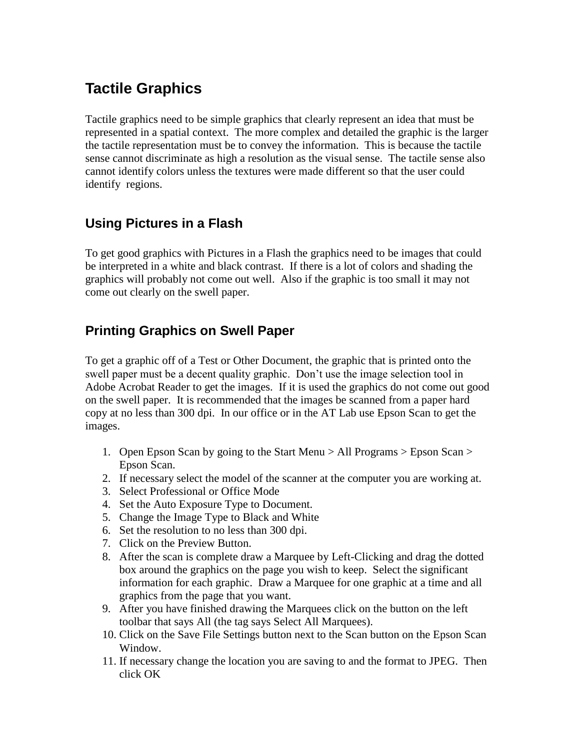# **Tactile Graphics**

Tactile graphics need to be simple graphics that clearly represent an idea that must be represented in a spatial context. The more complex and detailed the graphic is the larger the tactile representation must be to convey the information. This is because the tactile sense cannot discriminate as high a resolution as the visual sense. The tactile sense also cannot identify colors unless the textures were made different so that the user could identify regions.

## **Using Pictures in a Flash**

To get good graphics with Pictures in a Flash the graphics need to be images that could be interpreted in a white and black contrast. If there is a lot of colors and shading the graphics will probably not come out well. Also if the graphic is too small it may not come out clearly on the swell paper.

## **Printing Graphics on Swell Paper**

To get a graphic off of a Test or Other Document, the graphic that is printed onto the swell paper must be a decent quality graphic. Don't use the image selection tool in Adobe Acrobat Reader to get the images. If it is used the graphics do not come out good on the swell paper. It is recommended that the images be scanned from a paper hard copy at no less than 300 dpi. In our office or in the AT Lab use Epson Scan to get the images.

- 1. Open Epson Scan by going to the Start Menu > All Programs > Epson Scan > Epson Scan.
- 2. If necessary select the model of the scanner at the computer you are working at.
- 3. Select Professional or Office Mode
- 4. Set the Auto Exposure Type to Document.
- 5. Change the Image Type to Black and White
- 6. Set the resolution to no less than 300 dpi.
- 7. Click on the Preview Button.
- 8. After the scan is complete draw a Marquee by Left-Clicking and drag the dotted box around the graphics on the page you wish to keep. Select the significant information for each graphic. Draw a Marquee for one graphic at a time and all graphics from the page that you want.
- 9. After you have finished drawing the Marquees click on the button on the left toolbar that says All (the tag says Select All Marquees).
- 10. Click on the Save File Settings button next to the Scan button on the Epson Scan Window.
- 11. If necessary change the location you are saving to and the format to JPEG. Then click OK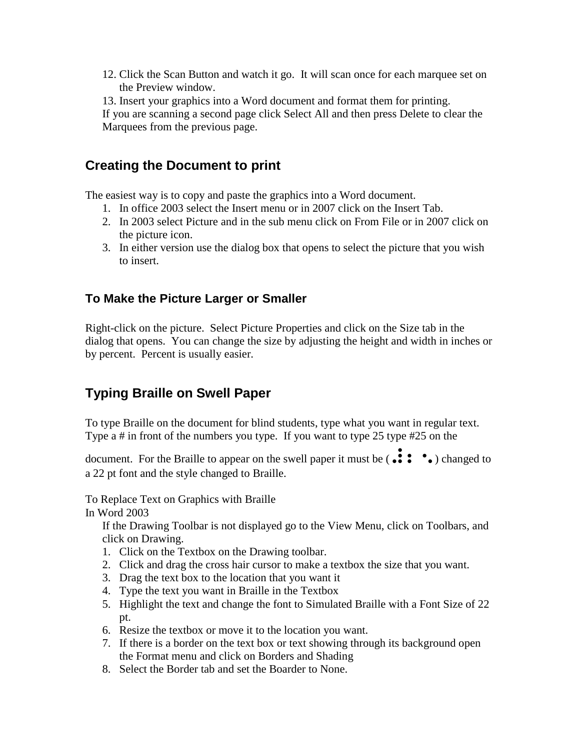- 12. Click the Scan Button and watch it go. It will scan once for each marquee set on the Preview window.
- 13. Insert your graphics into a Word document and format them for printing.

If you are scanning a second page click Select All and then press Delete to clear the Marquees from the previous page.

### **Creating the Document to print**

The easiest way is to copy and paste the graphics into a Word document.

- 1. In office 2003 select the Insert menu or in 2007 click on the Insert Tab.
- 2. In 2003 select Picture and in the sub menu click on From File or in 2007 click on the picture icon.
- 3. In either version use the dialog box that opens to select the picture that you wish to insert.

### **To Make the Picture Larger or Smaller**

Right-click on the picture. Select Picture Properties and click on the Size tab in the dialog that opens. You can change the size by adjusting the height and width in inches or by percent. Percent is usually easier.

## **Typing Braille on Swell Paper**

To type Braille on the document for blind students, type what you want in regular text. Type a # in front of the numbers you type. If you want to type 25 type #25 on the

document. For the Braille to appear on the swell paper it must be  $\left(\bullet\bullet\bullet\bullet\bullet\right)$  changed to a 22 pt font and the style changed to Braille.

To Replace Text on Graphics with Braille

In Word 2003

If the Drawing Toolbar is not displayed go to the View Menu, click on Toolbars, and click on Drawing.

- 1. Click on the Textbox on the Drawing toolbar.
- 2. Click and drag the cross hair cursor to make a textbox the size that you want.
- 3. Drag the text box to the location that you want it
- 4. Type the text you want in Braille in the Textbox
- 5. Highlight the text and change the font to Simulated Braille with a Font Size of 22 pt.
- 6. Resize the textbox or move it to the location you want.
- 7. If there is a border on the text box or text showing through its background open the Format menu and click on Borders and Shading
- 8. Select the Border tab and set the Boarder to None.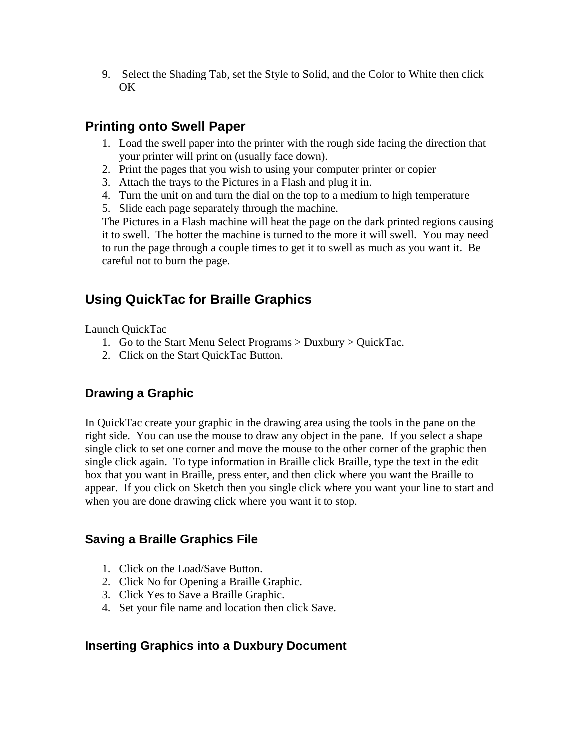9. Select the Shading Tab, set the Style to Solid, and the Color to White then click OK

## **Printing onto Swell Paper**

- 1. Load the swell paper into the printer with the rough side facing the direction that your printer will print on (usually face down).
- 2. Print the pages that you wish to using your computer printer or copier
- 3. Attach the trays to the Pictures in a Flash and plug it in.
- 4. Turn the unit on and turn the dial on the top to a medium to high temperature
- 5. Slide each page separately through the machine.

The Pictures in a Flash machine will heat the page on the dark printed regions causing it to swell. The hotter the machine is turned to the more it will swell. You may need to run the page through a couple times to get it to swell as much as you want it. Be careful not to burn the page.

## **Using QuickTac for Braille Graphics**

Launch QuickTac

- 1. Go to the Start Menu Select Programs > Duxbury > QuickTac.
- 2. Click on the Start QuickTac Button.

### **Drawing a Graphic**

In QuickTac create your graphic in the drawing area using the tools in the pane on the right side. You can use the mouse to draw any object in the pane. If you select a shape single click to set one corner and move the mouse to the other corner of the graphic then single click again. To type information in Braille click Braille, type the text in the edit box that you want in Braille, press enter, and then click where you want the Braille to appear. If you click on Sketch then you single click where you want your line to start and when you are done drawing click where you want it to stop.

### **Saving a Braille Graphics File**

- 1. Click on the Load/Save Button.
- 2. Click No for Opening a Braille Graphic.
- 3. Click Yes to Save a Braille Graphic.
- 4. Set your file name and location then click Save.

### **Inserting Graphics into a Duxbury Document**